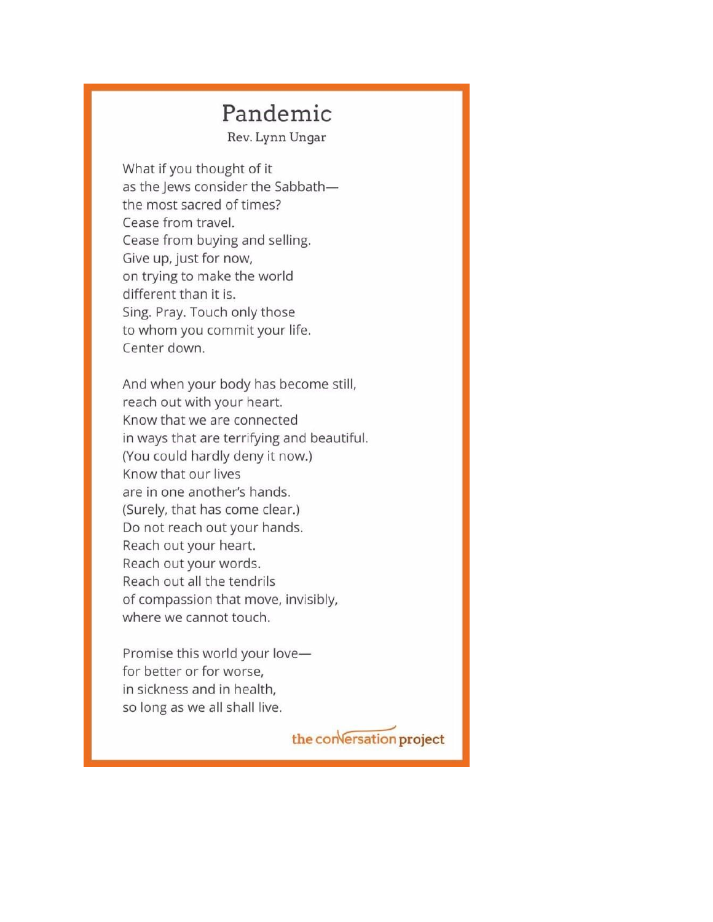## Pandemic

Rev. Lynn Ungar

What if you thought of it as the Jews consider the Sabbaththe most sacred of times? Cease from travel. Cease from buying and selling. Give up, just for now, on trying to make the world different than it is. Sing. Pray. Touch only those to whom you commit your life. Center down.

And when your body has become still, reach out with your heart. Know that we are connected in ways that are terrifying and beautiful. (You could hardly deny it now.) Know that our lives are in one another's hands. (Surely, that has come clear.) Do not reach out your hands. Reach out your heart. Reach out your words. Reach out all the tendrils of compassion that move, invisibly, where we cannot touch.

Promise this world your lovefor better or for worse, in sickness and in health, so long as we all shall live.

the conversation project